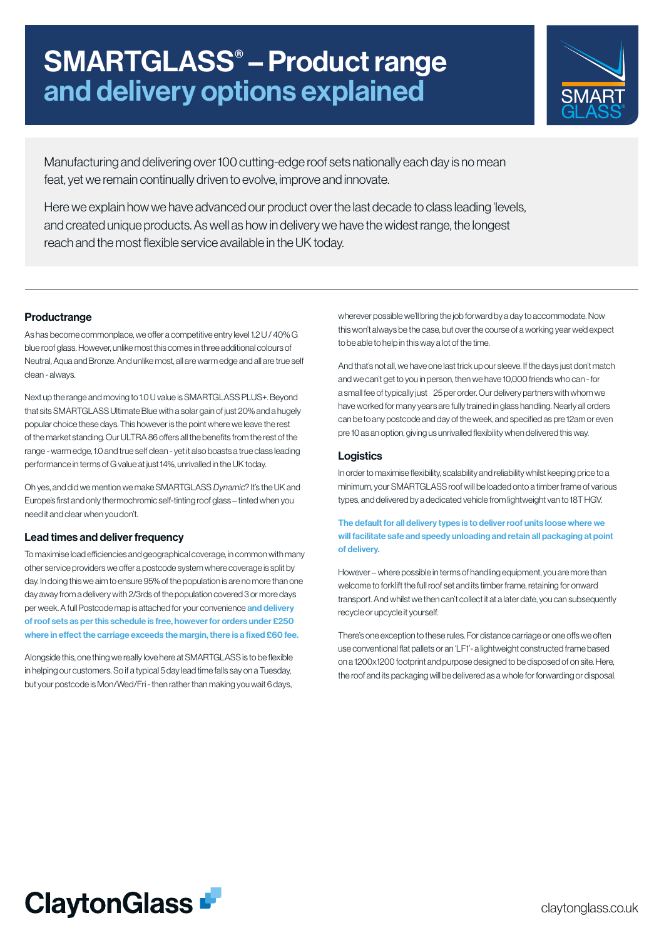# SMARTGLASS® – Product range and delivery options explained



Manufacturing and delivering over 100 cutting-edge roof sets nationally each day is no mean feat, yet we remain continually driven to evolve, improve and innovate.

Here we explain how we have advanced our product over the last decade to class leading 'levels, and created unique products. As well as how in delivery we have the widest range, the longest reach and the most flexible service available in the UK today.

## **Productrange**

As has become commonplace, we offer a competitive entry level 1.2 U / 40% G blue roof glass. However, unlike most this comes in three additional colours of Neutral, Aqua and Bronze. And unlike most, all are warm edge and all are true self clean - always.

Next up the range and moving to 1.0 U value is SMARTGLASS PLUS+. Beyond that sits SMARTGLASS Ultimate Blue with a solar gain of just 20% and a hugely popular choice these days. This however is the point where we leave the rest of the market standing. Our ULTRA 86 offers all the benefits from the rest of the range - warm edge, 1.0 and true self clean - yet it also boasts a true class leading performance in terms of G value at just 14%, unrivalled in the UK today.

Oh yes, and did we mention we make SMARTGLASS Dynamic? It's the UK and Europe's first and only thermochromic self-tinting roof glass – tinted when you need it and clear when you don't.

### Lead times and deliver frequency

To maximise load efficiencies and geographical coverage, in common with many other service providers we offer a postcode system where coverage is split by day. In doing this we aim to ensure 95% of the population is are no more than one day away from a delivery with 2/3rds of the population covered 3 or more days per week. A full Postcode map is attached for your convenience and delivery of roof sets as per this schedule is free, however for orders under £250 where in effect the carriage exceeds the margin, there is a fixed £60 fee.

Alongside this, one thing we really love here at SMARTGLASS is to be flexible in helping our customers. So if a typical 5 day lead time falls say on a Tuesday, but your postcode is Mon/Wed/Fri - then rather than making you wait 6 days,

wherever possible we'll bring the job forward by a day to accommodate. Now this won't always be the case, but over the course of a working year we'd expect to be able to help in this way a lot of the time.

And that's not all, we have one last trick up our sleeve. If the days just don't match and we can't get to you in person, then we have 10,000 friends who can - for a small fee of typically just 25 per order. Our delivery partners with whom we have worked for many years are fully trained in glass handling. Nearly all orders can be to any postcode and day of the week, and specified as pre 12am or even pre 10 as an option, giving us unrivalled flexibility when delivered this way.

## Logistics

In order to maximise flexibility, scalability and reliability whilst keeping price to a minimum, your SMARTGLASS roof will be loaded onto a timber frame of various types, and delivered by a dedicated vehicle from lightweight van to 18T HGV.

## The default for all delivery types is to deliver roof units loose where we will facilitate safe and speedy unloading and retain all packaging at point of delivery.

However – where possible in terms of handling equipment, you are more than welcome to forklift the full roof set and its timber frame, retaining for onward transport. And whilst we then can't collect it at a later date, you can subsequently recycle or upcycle it yourself.

There's one exception to these rules. For distance carriage or one offs we often use conventional flat pallets or an 'LF1'- a lightweight constructed frame based on a 1200x1200 footprint and purpose designed to be disposed of on site. Here, the roof and its packaging will be delivered as a whole for forwarding or disposal.